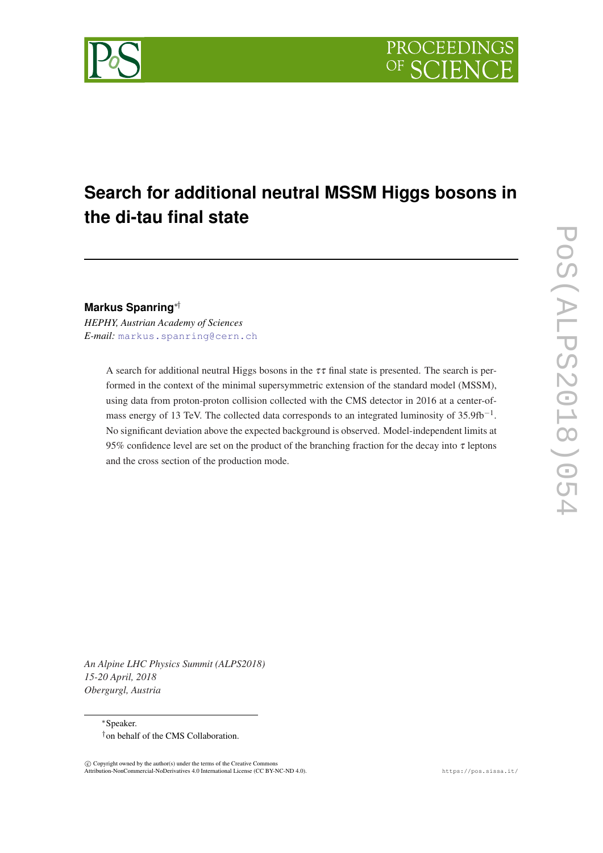# **Search for additional neutral MSSM Higgs bosons in the di-tau final state**

**Markus Spanring**∗†

*HEPHY, Austrian Academy of Sciences E-mail:* [markus.spanring@cern.ch](mailto:markus.spanring@cern.ch)

> A search for additional neutral Higgs bosons in the  $\tau\tau$  final state is presented. The search is performed in the context of the minimal supersymmetric extension of the standard model (MSSM), using data from proton-proton collision collected with the CMS detector in 2016 at a center-ofmass energy of 13 TeV. The collected data corresponds to an integrated luminosity of  $35.9fb<sup>-1</sup>$ . No significant deviation above the expected background is observed. Model-independent limits at 95% confidence level are set on the product of the branching fraction for the decay into  $\tau$  leptons and the cross section of the production mode.

*An Alpine LHC Physics Summit (ALPS2018) 15-20 April, 2018 Obergurgl, Austria*

> <sup>∗</sup>Speaker. †on behalf of the CMS Collaboration.

 $\overline{c}$  Copyright owned by the author(s) under the terms of the Creative Common Attribution-NonCommercial-NoDerivatives 4.0 International License (CC BY-NC-ND 4.0). https://pos.sissa.it/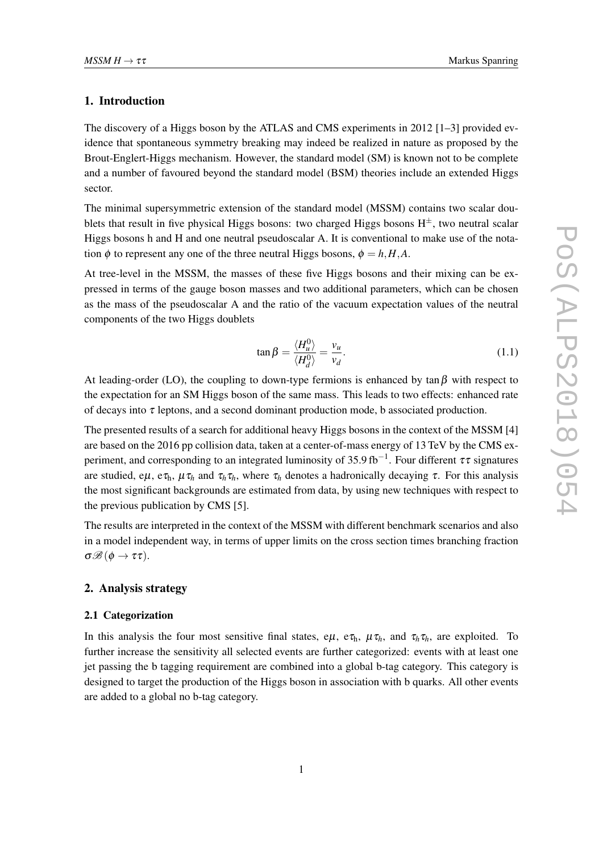## 1. Introduction

The discovery of a Higgs boson by the ATLAS and CMS experiments in 2012 [1–3] provided evidence that spontaneous symmetry breaking may indeed be realized in nature as proposed by the Brout-Englert-Higgs mechanism. However, the standard model (SM) is known not to be complete and a number of favoured beyond the standard model (BSM) theories include an extended Higgs sector.

The minimal supersymmetric extension of the standard model (MSSM) contains two scalar doublets that result in five physical Higgs bosons: two charged Higgs bosons  $H^{\pm}$ , two neutral scalar Higgs bosons h and H and one neutral pseudoscalar A. It is conventional to make use of the notation  $\phi$  to represent any one of the three neutral Higgs bosons,  $\phi = h, H, A$ .

At tree-level in the MSSM, the masses of these five Higgs bosons and their mixing can be expressed in terms of the gauge boson masses and two additional parameters, which can be chosen as the mass of the pseudoscalar A and the ratio of the vacuum expectation values of the neutral components of the two Higgs doublets

$$
\tan \beta = \frac{\langle H_u^0 \rangle}{\langle H_d^0 \rangle} = \frac{v_u}{v_d}.\tag{1.1}
$$

At leading-order (LO), the coupling to down-type fermions is enhanced by  $\tan \beta$  with respect to the expectation for an SM Higgs boson of the same mass. This leads to two effects: enhanced rate of decays into  $\tau$  leptons, and a second dominant production mode, b associated production.

The presented results of a search for additional heavy Higgs bosons in the context of the MSSM [4] are based on the 2016 pp collision data, taken at a center-of-mass energy of 13 TeV by the CMS experiment, and corresponding to an integrated luminosity of 35.9 fb<sup>-1</sup>. Four different  $\tau\tau$  signatures are studied, e $\mu$ , e $\tau_h$ ,  $\mu \tau_h$  and  $\tau_h \tau_h$ , where  $\tau_h$  denotes a hadronically decaying  $\tau$ . For this analysis the most significant backgrounds are estimated from data, by using new techniques with respect to the previous publication by CMS [5].

The results are interpreted in the context of the MSSM with different benchmark scenarios and also in a model independent way, in terms of upper limits on the cross section times branching fraction  $\sigma\mathscr{B}(\phi\to\tau\tau)$ .

### 2. Analysis strategy

#### 2.1 Categorization

In this analysis the four most sensitive final states,  $e\mu$ ,  $e\tau_h$ ,  $\mu\tau_h$ , and  $\tau_h\tau_h$ , are exploited. To further increase the sensitivity all selected events are further categorized: events with at least one jet passing the b tagging requirement are combined into a global b-tag category. This category is designed to target the production of the Higgs boson in association with b quarks. All other events are added to a global no b-tag category.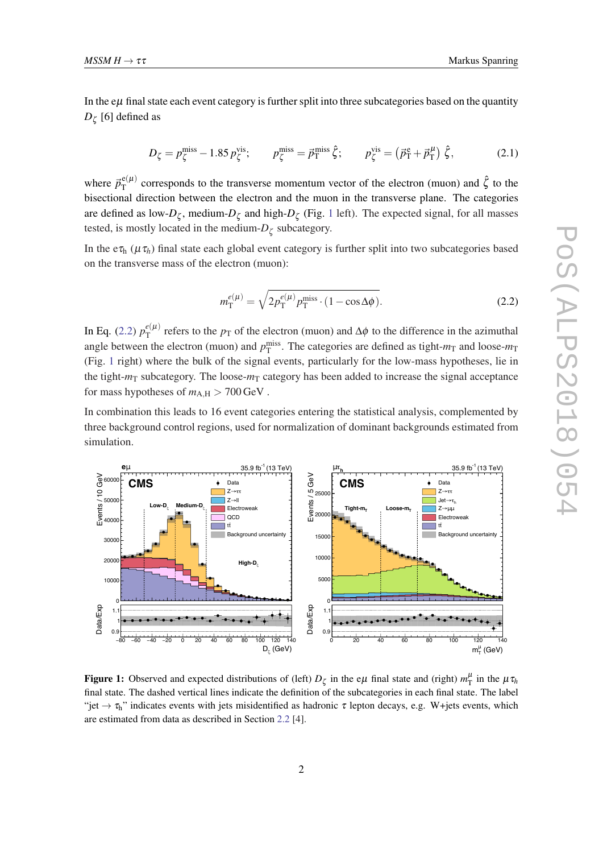In the  $e\mu$  final state each event category is further split into three subcategories based on the quantity  $D_{\zeta}$  [6] defined as

$$
D_{\zeta} = p_{\zeta}^{\text{miss}} - 1.85 p_{\zeta}^{\text{vis}}; \qquad p_{\zeta}^{\text{miss}} = \vec{p}_{\text{T}}^{\text{miss}} \hat{\zeta}; \qquad p_{\zeta}^{\text{vis}} = (\vec{p}_{\text{T}}^{\text{e}} + \vec{p}_{\text{T}}^{\mu}) \hat{\zeta}, \tag{2.1}
$$

where  $\vec{p}_{\rm T}^{\text{e}(\mu)}$  $_{\rm T}^{\rm e(\mu)}$  corresponds to the transverse momentum vector of the electron (muon) and  $\hat{\zeta}$  to the bisectional direction between the electron and the muon in the transverse plane. The categories are defined as low- $D_{\zeta}$ , medium- $D_{\zeta}$  and high- $D_{\zeta}$  (Fig. 1 left). The expected signal, for all masses tested, is mostly located in the medium- $D_{\zeta}$  subcategory.

In the  $e\tau_h$  ( $\mu\tau_h$ ) final state each global event category is further split into two subcategories based on the transverse mass of the electron (muon):

$$
m_{\rm T}^{e(\mu)} = \sqrt{2p_{\rm T}^{e(\mu)}p_{\rm T}^{\rm miss} \cdot (1 - \cos \Delta \phi)}.
$$
 (2.2)

In Eq. (2.2)  $p_{\rm T}^{e(\mu)}$  $T<sup>e</sup>(\mu)$  refers to the *p*<sub>T</sub> of the electron (muon) and  $\Delta \phi$  to the difference in the azimuthal angle between the electron (muon) and  $p_T^{\text{miss}}$ . The categories are defined as tight- $m_T$  and loose- $m_T$ (Fig. 1 right) where the bulk of the signal events, particularly for the low-mass hypotheses, lie in the tight- $m<sub>T</sub>$  subcategory. The loose- $m<sub>T</sub>$  category has been added to increase the signal acceptance for mass hypotheses of  $m_{A,H} > 700 \,\text{GeV}$ .

In combination this leads to 16 event categories entering the statistical analysis, complemented by three background control regions, used for normalization of dominant backgrounds estimated from simulation.



Figure 1: Observed and expected distributions of (left)  $D_{\zeta}$  in the e $\mu$  final state and (right)  $m_{\rm T}^{\mu}$  in the  $\mu \tau_h$ final state. The dashed vertical lines indicate the definition of the subcategories in each final state. The label "jet  $\rightarrow \tau_h$ " indicates events with jets misidentified as hadronic  $\tau$  lepton decays, e.g. W+jets events, which are estimated from data as described in Section [2.2](#page-3-0) [4].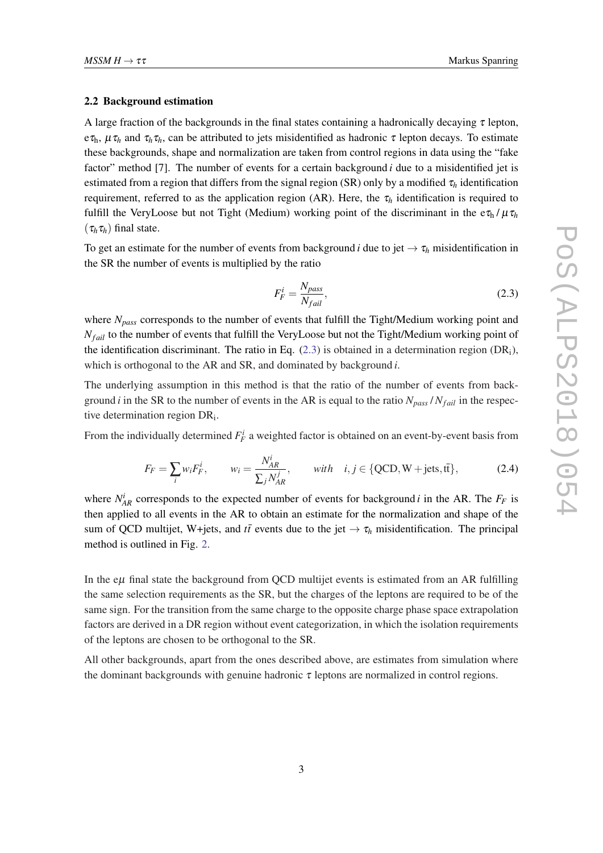#### <span id="page-3-0"></span>2.2 Background estimation

A large fraction of the backgrounds in the final states containing a hadronically decaying  $\tau$  lepton,  $e\tau_h$ ,  $\mu\tau_h$  and  $\tau_h\tau_h$ , can be attributed to jets misidentified as hadronic  $\tau$  lepton decays. To estimate these backgrounds, shape and normalization are taken from control regions in data using the "fake factor" method [7]. The number of events for a certain background *i* due to a misidentified jet is estimated from a region that differs from the signal region (SR) only by a modified  $\tau_h$  identification requirement, referred to as the application region (AR). Here, the  $\tau_h$  identification is required to fulfill the VeryLoose but not Tight (Medium) working point of the discriminant in the  $e\tau_h/\mu\tau_h$  $(\tau_h \tau_h)$  final state.

To get an estimate for the number of events from background *i* due to jet  $\rightarrow \tau_h$  misidentification in the SR the number of events is multiplied by the ratio

$$
F_F^i = \frac{N_{pass}}{N_{fail}},\tag{2.3}
$$

where *Npass* corresponds to the number of events that fulfill the Tight/Medium working point and *N<sub>fail</sub>* to the number of events that fulfill the VeryLoose but not the Tight/Medium working point of the identification discriminant. The ratio in Eq.  $(2.3)$  is obtained in a determination region  $(DR_i)$ , which is orthogonal to the AR and SR, and dominated by background *i*.

The underlying assumption in this method is that the ratio of the number of events from background *i* in the SR to the number of events in the AR is equal to the ratio  $N_{pass}/N_{fail}$  in the respective determination region DR<sub>i</sub>.

From the individually determined  $F_F^i$  a weighted factor is obtained on an event-by-event basis from

$$
F_F = \sum_i w_i F_F^i, \qquad w_i = \frac{N_{AR}^i}{\sum_j N_{AR}^j}, \qquad with \quad i, j \in \{QCD, W + jets, t\},\tag{2.4}
$$

where  $N_{AR}^i$  corresponds to the expected number of events for background *i* in the AR. The  $F_F$  is then applied to all events in the AR to obtain an estimate for the normalization and shape of the sum of QCD multijet, W+jets, and  $t\bar{t}$  events due to the jet  $\rightarrow \tau_h$  misidentification. The principal method is outlined in Fig. [2.](#page-4-0)

In the  $e\mu$  final state the background from QCD multijet events is estimated from an AR fulfilling the same selection requirements as the SR, but the charges of the leptons are required to be of the same sign. For the transition from the same charge to the opposite charge phase space extrapolation factors are derived in a DR region without event categorization, in which the isolation requirements of the leptons are chosen to be orthogonal to the SR.

All other backgrounds, apart from the ones described above, are estimates from simulation where the dominant backgrounds with genuine hadronic  $\tau$  leptons are normalized in control regions.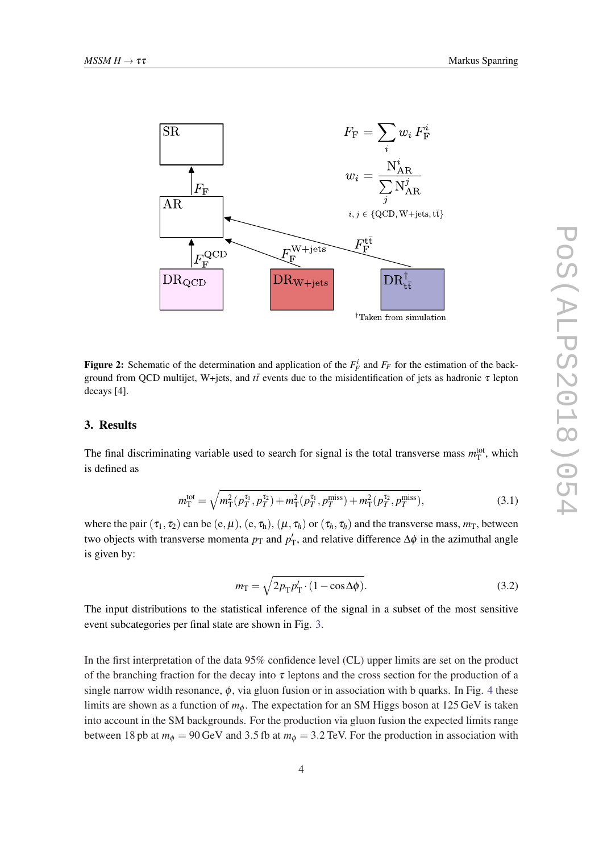<span id="page-4-0"></span>

Figure 2: Schematic of the determination and application of the  $F_F^i$  and  $F_F$  for the estimation of the background from QCD multijet, W+jets, and *tt* events due to the misidentification of jets as hadronic τ lepton decays [4].

#### 3. Results

The final discriminating variable used to search for signal is the total transverse mass  $m_T^{\text{tot}}$ , which is defined as

$$
m_{\rm T}^{\rm tot} = \sqrt{m_{\rm T}^2 (p_T^{\tau_1}, p_T^{\tau_2}) + m_{\rm T}^2 (p_T^{\tau_1}, p_T^{\rm miss}) + m_{\rm T}^2 (p_T^{\tau_2}, p_T^{\rm miss})},\tag{3.1}
$$

where the pair  $(\tau_1, \tau_2)$  can be  $(e, \mu)$ ,  $(e, \tau_h)$ ,  $(\mu, \tau_h)$  or  $(\tau_h, \tau_h)$  and the transverse mass,  $m_T$ , between two objects with transverse momenta  $p_T$  and  $p'_T$ , and relative difference  $\Delta \phi$  in the azimuthal angle is given by:

$$
m_{\rm T} = \sqrt{2p_{\rm T}p_{\rm T}' \cdot (1 - \cos \Delta \phi)}.
$$
 (3.2)

The input distributions to the statistical inference of the signal in a subset of the most sensitive event subcategories per final state are shown in Fig. [3](#page-5-0).

In the first interpretation of the data 95% confidence level (CL) upper limits are set on the product of the branching fraction for the decay into  $\tau$  leptons and the cross section for the production of a single narrow width resonance,  $\phi$ , via gluon fusion or in association with b quarks. In Fig. [4](#page-6-0) these limits are shown as a function of  $m_{\phi}$ . The expectation for an SM Higgs boson at 125 GeV is taken into account in the SM backgrounds. For the production via gluon fusion the expected limits range between 18 pb at  $m_{\phi} = 90 \,\text{GeV}$  and 3.5 fb at  $m_{\phi} = 3.2 \,\text{TeV}$ . For the production in association with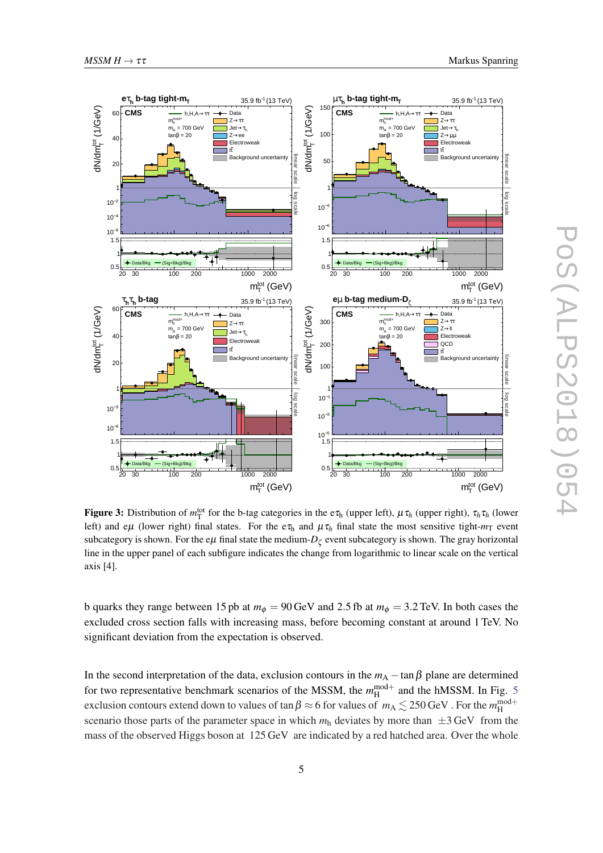<span id="page-5-0"></span>

Figure 3: Distribution of  $m_T^{\text{tot}}$  for the b-tag categories in the e $\tau_h$  (upper left),  $\mu \tau_h$  (upper right),  $\tau_h \tau_h$  (lower left) and e $\mu$  (lower right) final states. For the e $\tau_h$  and  $\mu \tau_h$  final state the most sensitive tight- $m_T$  event subcategory is shown. For the e $\mu$  final state the medium- $D_{\zeta}$  event subcategory is shown. The gray horizontal line in the upper panel of each subfigure indicates the change from logarithmic to linear scale on the vertical axis [4].

b quarks they range between 15 pb at  $m_{\phi} = 90 \,\text{GeV}$  and 2.5 fb at  $m_{\phi} = 3.2 \,\text{TeV}$ . In both cases the excluded cross section falls with increasing mass, before becoming constant at around 1 TeV. No significant deviation from the expectation is observed.

In the second interpretation of the data, exclusion contours in the  $m_A - \tan \beta$  plane are determined for two representative benchmark scenarios of the MSSM, the  $m_H^{\text{mod}+}$  and the hMSSM. In Fig. [5](#page-6-0) exclusion contours extend down to values of  $\tan\beta \approx$  6 for values of  $m_\text{A} \lesssim 250\,\text{GeV}$  . For the  $m_\text{H}^{\text{mod+}}$ scenario those parts of the parameter space in which  $m_h$  deviates by more than  $\pm 3$  GeV from the mass of the observed Higgs boson at 125 GeV are indicated by a red hatched area. Over the whole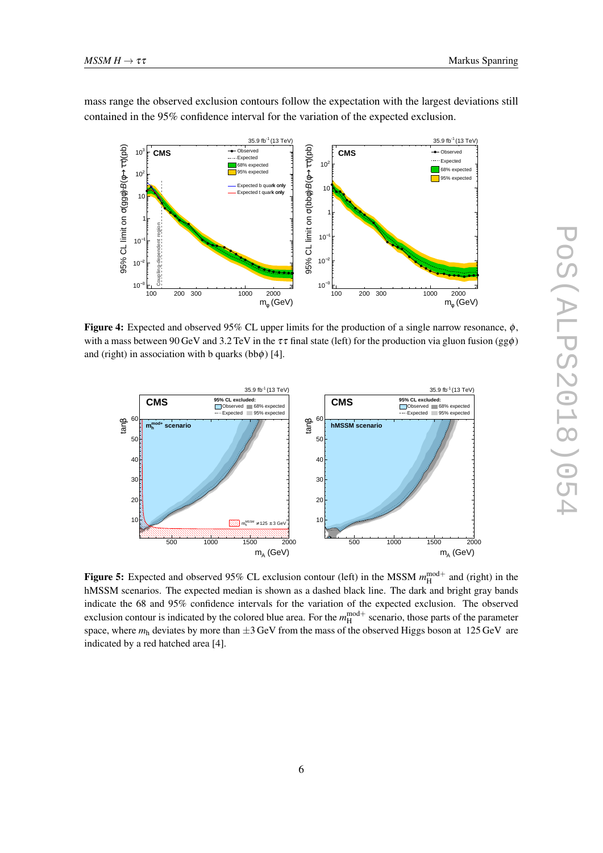

<span id="page-6-0"></span>mass range the observed exclusion contours follow the expectation with the largest deviations still contained in the 95% confidence interval for the variation of the expected exclusion.

Figure 4: Expected and observed 95% CL upper limits for the production of a single narrow resonance,  $\phi$ , with a mass between 90 GeV and 3.2 TeV in the  $\tau\tau$  final state (left) for the production via gluon fusion (gg $\phi$ ) and (right) in association with b quarks (bb $\phi$ ) [4].



Figure 5: Expected and observed 95% CL exclusion contour (left) in the MSSM  $m_H^{\text{mod}+}$  and (right) in the hMSSM scenarios. The expected median is shown as a dashed black line. The dark and bright gray bands indicate the 68 and 95% confidence intervals for the variation of the expected exclusion. The observed exclusion contour is indicated by the colored blue area. For the  $m_H^{\text{mod}+}$  scenario, those parts of the parameter space, where  $m_h$  deviates by more than  $\pm 3$  GeV from the mass of the observed Higgs boson at 125 GeV are indicated by a red hatched area [4].